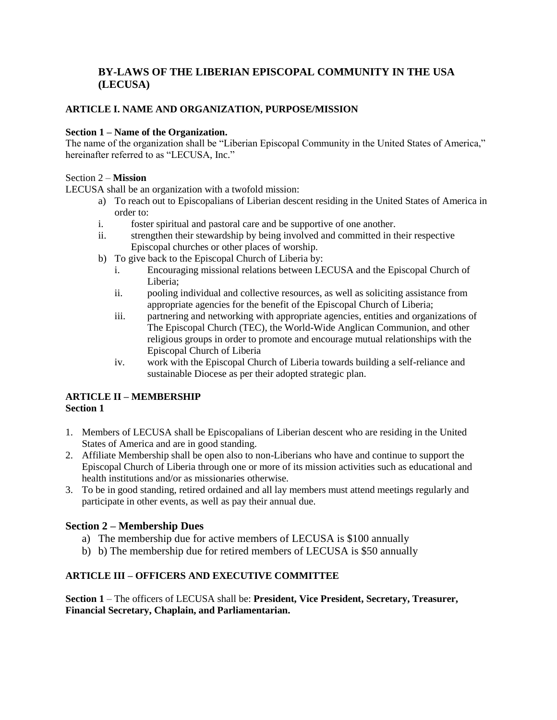# **BY-LAWS OF THE LIBERIAN EPISCOPAL COMMUNITY IN THE USA (LECUSA)**

# **ARTICLE I. NAME AND ORGANIZATION, PURPOSE/MISSION**

#### **Section 1 – Name of the Organization.**

The name of the organization shall be "Liberian Episcopal Community in the United States of America," hereinafter referred to as "LECUSA, Inc."

#### Section 2 – **Mission**

LECUSA shall be an organization with a twofold mission:

- a) To reach out to Episcopalians of Liberian descent residing in the United States of America in order to:
- i. foster spiritual and pastoral care and be supportive of one another.
- ii. strengthen their stewardship by being involved and committed in their respective Episcopal churches or other places of worship.
- b) To give back to the Episcopal Church of Liberia by:
	- i. Encouraging missional relations between LECUSA and the Episcopal Church of Liberia;
	- ii. pooling individual and collective resources, as well as soliciting assistance from appropriate agencies for the benefit of the Episcopal Church of Liberia;
	- iii. partnering and networking with appropriate agencies, entities and organizations of The Episcopal Church (TEC), the World-Wide Anglican Communion, and other religious groups in order to promote and encourage mutual relationships with the Episcopal Church of Liberia
	- iv. work with the Episcopal Church of Liberia towards building a self-reliance and sustainable Diocese as per their adopted strategic plan.

#### **ARTICLE II – MEMBERSHIP Section 1**

- 1. Members of LECUSA shall be Episcopalians of Liberian descent who are residing in the United States of America and are in good standing.
- 2. Affiliate Membership shall be open also to non-Liberians who have and continue to support the Episcopal Church of Liberia through one or more of its mission activities such as educational and health institutions and/or as missionaries otherwise.
- 3. To be in good standing, retired ordained and all lay members must attend meetings regularly and participate in other events, as well as pay their annual due.

# **Section 2 – Membership Dues**

- a) The membership due for active members of LECUSA is \$100 annually
- b) b) The membership due for retired members of LECUSA is \$50 annually

# **ARTICLE III – OFFICERS AND EXECUTIVE COMMITTEE**

**Section 1** – The officers of LECUSA shall be: **President, Vice President, Secretary, Treasurer, Financial Secretary, Chaplain, and Parliamentarian.**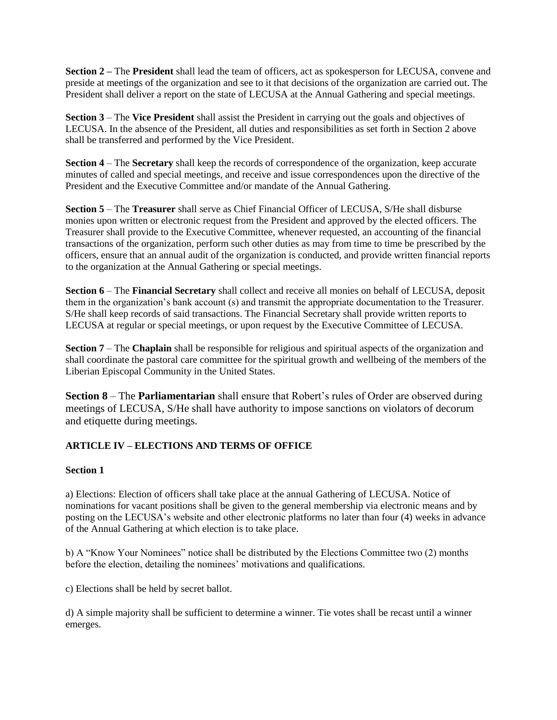**Section 2 –** The **President** shall lead the team of officers, act as spokesperson for LECUSA, convene and preside at meetings of the organization and see to it that decisions of the organization are carried out. The President shall deliver a report on the state of LECUSA at the Annual Gathering and special meetings.

**Section 3** – The **Vice President** shall assist the President in carrying out the goals and objectives of LECUSA. In the absence of the President, all duties and responsibilities as set forth in Section 2 above shall be transferred and performed by the Vice President.

**Section 4** – The **Secretary** shall keep the records of correspondence of the organization, keep accurate minutes of called and special meetings, and receive and issue correspondences upon the directive of the President and the Executive Committee and/or mandate of the Annual Gathering.

**Section 5** – The **Treasurer** shall serve as Chief Financial Officer of LECUSA, S/He shall disburse monies upon written or electronic request from the President and approved by the elected officers. The Treasurer shall provide to the Executive Committee, whenever requested, an accounting of the financial transactions of the organization, perform such other duties as may from time to time be prescribed by the officers, ensure that an annual audit of the organization is conducted, and provide written financial reports to the organization at the Annual Gathering or special meetings.

**Section 6** – The **Financial Secretary** shall collect and receive all monies on behalf of LECUSA, deposit them in the organization's bank account (s) and transmit the appropriate documentation to the Treasurer. S/He shall keep records of said transactions. The Financial Secretary shall provide written reports to LECUSA at regular or special meetings, or upon request by the Executive Committee of LECUSA.

**Section 7** – The **Chaplain** shall be responsible for religious and spiritual aspects of the organization and shall coordinate the pastoral care committee for the spiritual growth and wellbeing of the members of the Liberian Episcopal Community in the United States.

**Section 8** – The **Parliamentarian** shall ensure that Robert's rules of Order are observed during meetings of LECUSA, S/He shall have authority to impose sanctions on violators of decorum and etiquette during meetings.

# **ARTICLE IV – ELECTIONS AND TERMS OF OFFICE**

# **Section 1**

a) Elections: Election of officers shall take place at the annual Gathering of LECUSA. Notice of nominations for vacant positions shall be given to the general membership via electronic means and by posting on the LECUSA's website and other electronic platforms no later than four (4) weeks in advance of the Annual Gathering at which election is to take place.

b) A "Know Your Nominees" notice shall be distributed by the Elections Committee two (2) months before the election, detailing the nominees' motivations and qualifications.

c) Elections shall be held by secret ballot.

d) A simple majority shall be sufficient to determine a winner. Tie votes shall be recast until a winner emerges.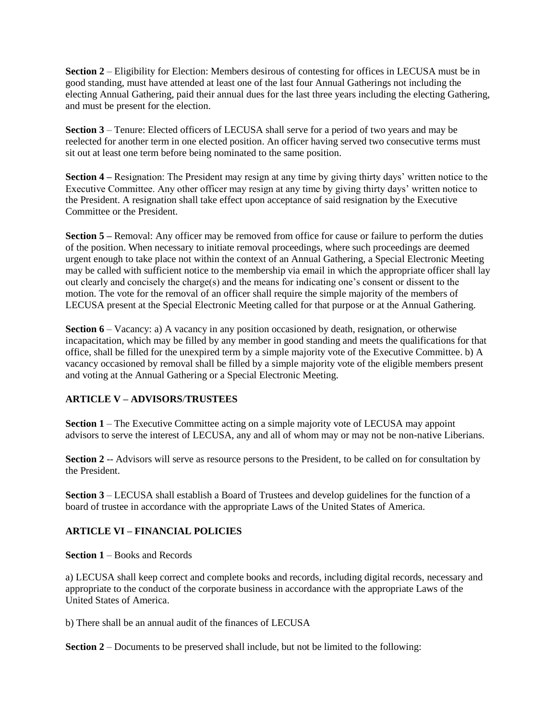**Section 2** – Eligibility for Election: Members desirous of contesting for offices in LECUSA must be in good standing, must have attended at least one of the last four Annual Gatherings not including the electing Annual Gathering, paid their annual dues for the last three years including the electing Gathering, and must be present for the election.

**Section 3** – Tenure: Elected officers of LECUSA shall serve for a period of two years and may be reelected for another term in one elected position. An officer having served two consecutive terms must sit out at least one term before being nominated to the same position.

**Section 4** – Resignation: The President may resign at any time by giving thirty days' written notice to the Executive Committee. Any other officer may resign at any time by giving thirty days' written notice to the President. A resignation shall take effect upon acceptance of said resignation by the Executive Committee or the President.

**Section 5** – Removal: Any officer may be removed from office for cause or failure to perform the duties of the position. When necessary to initiate removal proceedings, where such proceedings are deemed urgent enough to take place not within the context of an Annual Gathering, a Special Electronic Meeting may be called with sufficient notice to the membership via email in which the appropriate officer shall lay out clearly and concisely the charge(s) and the means for indicating one's consent or dissent to the motion. The vote for the removal of an officer shall require the simple majority of the members of LECUSA present at the Special Electronic Meeting called for that purpose or at the Annual Gathering.

**Section 6** – Vacancy: a) A vacancy in any position occasioned by death, resignation, or otherwise incapacitation, which may be filled by any member in good standing and meets the qualifications for that office, shall be filled for the unexpired term by a simple majority vote of the Executive Committee. b) A vacancy occasioned by removal shall be filled by a simple majority vote of the eligible members present and voting at the Annual Gathering or a Special Electronic Meeting.

# **ARTICLE V – ADVISORS**/**TRUSTEES**

**Section 1** – The Executive Committee acting on a simple majority vote of LECUSA may appoint advisors to serve the interest of LECUSA, any and all of whom may or may not be non-native Liberians.

**Section 2** -- Advisors will serve as resource persons to the President, to be called on for consultation by the President.

**Section 3** – LECUSA shall establish a Board of Trustees and develop guidelines for the function of a board of trustee in accordance with the appropriate Laws of the United States of America.

# **ARTICLE VI – FINANCIAL POLICIES**

**Section 1** – Books and Records

a) LECUSA shall keep correct and complete books and records, including digital records, necessary and appropriate to the conduct of the corporate business in accordance with the appropriate Laws of the United States of America.

b) There shall be an annual audit of the finances of LECUSA

**Section 2** – Documents to be preserved shall include, but not be limited to the following: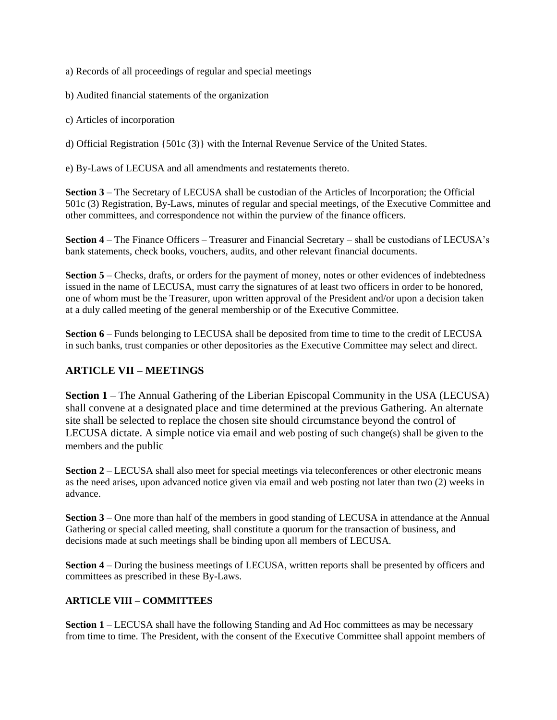a) Records of all proceedings of regular and special meetings

b) Audited financial statements of the organization

c) Articles of incorporation

d) Official Registration {501c (3)} with the Internal Revenue Service of the United States.

e) By-Laws of LECUSA and all amendments and restatements thereto.

**Section 3** – The Secretary of LECUSA shall be custodian of the Articles of Incorporation; the Official 501c (3) Registration, By-Laws, minutes of regular and special meetings, of the Executive Committee and other committees, and correspondence not within the purview of the finance officers.

**Section 4** – The Finance Officers – Treasurer and Financial Secretary – shall be custodians of LECUSA's bank statements, check books, vouchers, audits, and other relevant financial documents.

**Section 5** – Checks, drafts, or orders for the payment of money, notes or other evidences of indebtedness issued in the name of LECUSA, must carry the signatures of at least two officers in order to be honored, one of whom must be the Treasurer, upon written approval of the President and/or upon a decision taken at a duly called meeting of the general membership or of the Executive Committee.

**Section 6** – Funds belonging to LECUSA shall be deposited from time to time to the credit of LECUSA in such banks, trust companies or other depositories as the Executive Committee may select and direct.

# **ARTICLE VII – MEETINGS**

**Section 1** – The Annual Gathering of the Liberian Episcopal Community in the USA (LECUSA) shall convene at a designated place and time determined at the previous Gathering. An alternate site shall be selected to replace the chosen site should circumstance beyond the control of LECUSA dictate. A simple notice via email and web posting of such change(s) shall be given to the members and the public

**Section 2** – LECUSA shall also meet for special meetings via teleconferences or other electronic means as the need arises, upon advanced notice given via email and web posting not later than two (2) weeks in advance.

**Section 3** – One more than half of the members in good standing of LECUSA in attendance at the Annual Gathering or special called meeting, shall constitute a quorum for the transaction of business, and decisions made at such meetings shall be binding upon all members of LECUSA.

**Section 4** – During the business meetings of LECUSA, written reports shall be presented by officers and committees as prescribed in these By-Laws.

# **ARTICLE VIII – COMMITTEES**

**Section 1** – LECUSA shall have the following Standing and Ad Hoc committees as may be necessary from time to time. The President, with the consent of the Executive Committee shall appoint members of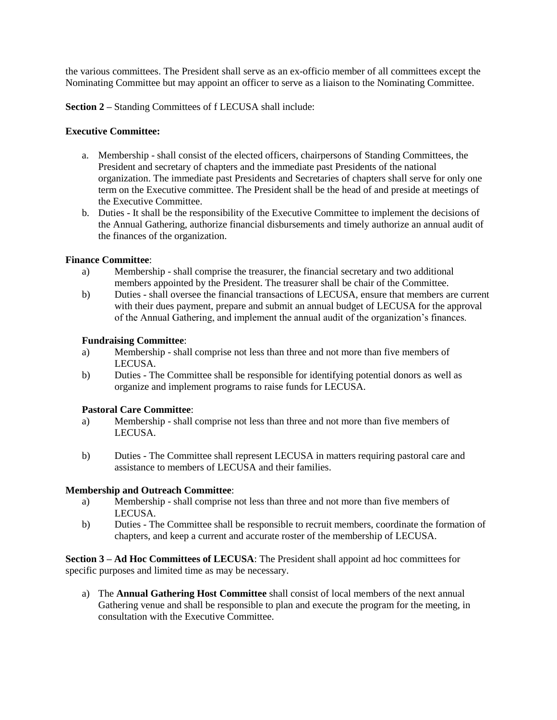the various committees. The President shall serve as an ex-officio member of all committees except the Nominating Committee but may appoint an officer to serve as a liaison to the Nominating Committee.

**Section 2 –** Standing Committees of f LECUSA shall include:

#### **Executive Committee:**

- a. Membership shall consist of the elected officers, chairpersons of Standing Committees, the President and secretary of chapters and the immediate past Presidents of the national organization. The immediate past Presidents and Secretaries of chapters shall serve for only one term on the Executive committee. The President shall be the head of and preside at meetings of the Executive Committee.
- b. Duties It shall be the responsibility of the Executive Committee to implement the decisions of the Annual Gathering, authorize financial disbursements and timely authorize an annual audit of the finances of the organization.

### **Finance Committee**:

- a) Membership shall comprise the treasurer, the financial secretary and two additional members appointed by the President. The treasurer shall be chair of the Committee.
- b) Duties shall oversee the financial transactions of LECUSA, ensure that members are current with their dues payment, prepare and submit an annual budget of LECUSA for the approval of the Annual Gathering, and implement the annual audit of the organization's finances.

### **Fundraising Committee**:

- a) Membership shall comprise not less than three and not more than five members of LECUSA.
- b) Duties The Committee shall be responsible for identifying potential donors as well as organize and implement programs to raise funds for LECUSA.

# **Pastoral Care Committee**:

- a) Membership shall comprise not less than three and not more than five members of **LECUSA**
- b) Duties The Committee shall represent LECUSA in matters requiring pastoral care and assistance to members of LECUSA and their families.

#### **Membership and Outreach Committee**:

- a) Membership shall comprise not less than three and not more than five members of LECUSA.
- b) Duties The Committee shall be responsible to recruit members, coordinate the formation of chapters, and keep a current and accurate roster of the membership of LECUSA.

**Section 3 – Ad Hoc Committees of LECUSA**: The President shall appoint ad hoc committees for specific purposes and limited time as may be necessary.

a) The **Annual Gathering Host Committee** shall consist of local members of the next annual Gathering venue and shall be responsible to plan and execute the program for the meeting, in consultation with the Executive Committee.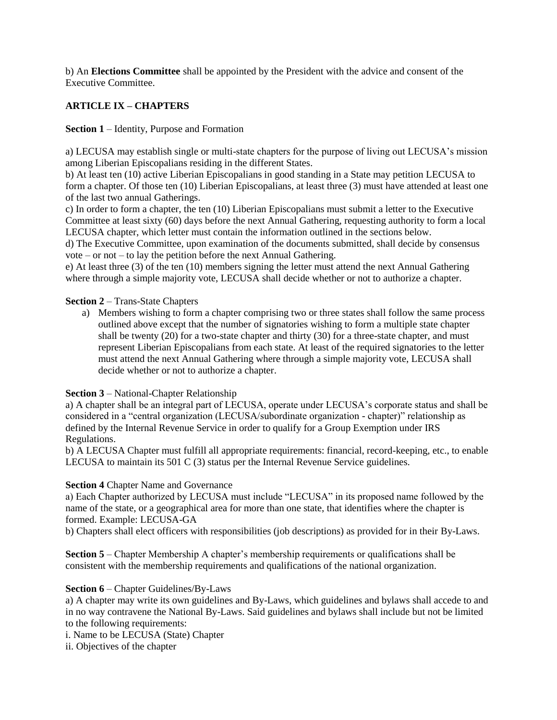b) An **Elections Committee** shall be appointed by the President with the advice and consent of the Executive Committee.

# **ARTICLE IX – CHAPTERS**

#### **Section 1** – Identity, Purpose and Formation

a) LECUSA may establish single or multi-state chapters for the purpose of living out LECUSA's mission among Liberian Episcopalians residing in the different States.

b) At least ten (10) active Liberian Episcopalians in good standing in a State may petition LECUSA to form a chapter. Of those ten (10) Liberian Episcopalians, at least three (3) must have attended at least one of the last two annual Gatherings.

c) In order to form a chapter, the ten (10) Liberian Episcopalians must submit a letter to the Executive Committee at least sixty (60) days before the next Annual Gathering, requesting authority to form a local LECUSA chapter, which letter must contain the information outlined in the sections below.

d) The Executive Committee, upon examination of the documents submitted, shall decide by consensus vote – or not – to lay the petition before the next Annual Gathering.

e) At least three (3) of the ten (10) members signing the letter must attend the next Annual Gathering where through a simple majority vote, LECUSA shall decide whether or not to authorize a chapter.

#### **Section 2** – Trans-State Chapters

a) Members wishing to form a chapter comprising two or three states shall follow the same process outlined above except that the number of signatories wishing to form a multiple state chapter shall be twenty (20) for a two-state chapter and thirty (30) for a three-state chapter, and must represent Liberian Episcopalians from each state. At least of the required signatories to the letter must attend the next Annual Gathering where through a simple majority vote, LECUSA shall decide whether or not to authorize a chapter.

# **Section 3** – National-Chapter Relationship

a) A chapter shall be an integral part of LECUSA, operate under LECUSA's corporate status and shall be considered in a "central organization (LECUSA/subordinate organization - chapter)" relationship as defined by the Internal Revenue Service in order to qualify for a Group Exemption under IRS Regulations.

b) A LECUSA Chapter must fulfill all appropriate requirements: financial, record-keeping, etc., to enable LECUSA to maintain its 501 C (3) status per the Internal Revenue Service guidelines.

#### **Section 4** Chapter Name and Governance

a) Each Chapter authorized by LECUSA must include "LECUSA" in its proposed name followed by the name of the state, or a geographical area for more than one state, that identifies where the chapter is formed. Example: LECUSA-GA

b) Chapters shall elect officers with responsibilities (job descriptions) as provided for in their By-Laws.

**Section 5** – Chapter Membership A chapter's membership requirements or qualifications shall be consistent with the membership requirements and qualifications of the national organization.

#### **Section 6** – Chapter Guidelines/By-Laws

a) A chapter may write its own guidelines and By-Laws, which guidelines and bylaws shall accede to and in no way contravene the National By-Laws. Said guidelines and bylaws shall include but not be limited to the following requirements:

i. Name to be LECUSA (State) Chapter

ii. Objectives of the chapter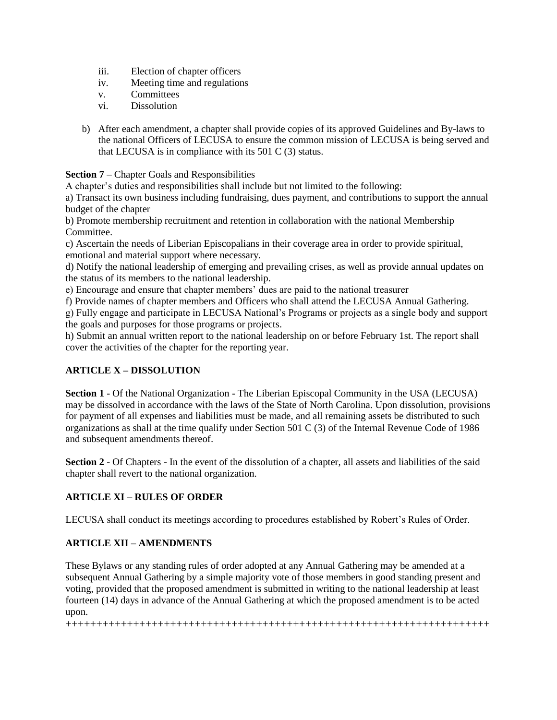- iii. Election of chapter officers
- iv. Meeting time and regulations
- v. Committees
- vi. Dissolution
- b) After each amendment, a chapter shall provide copies of its approved Guidelines and By-laws to the national Officers of LECUSA to ensure the common mission of LECUSA is being served and that LECUSA is in compliance with its 501 C (3) status.

**Section 7** – Chapter Goals and Responsibilities

A chapter's duties and responsibilities shall include but not limited to the following:

a) Transact its own business including fundraising, dues payment, and contributions to support the annual budget of the chapter

b) Promote membership recruitment and retention in collaboration with the national Membership Committee.

c) Ascertain the needs of Liberian Episcopalians in their coverage area in order to provide spiritual, emotional and material support where necessary.

d) Notify the national leadership of emerging and prevailing crises, as well as provide annual updates on the status of its members to the national leadership.

e) Encourage and ensure that chapter members' dues are paid to the national treasurer

f) Provide names of chapter members and Officers who shall attend the LECUSA Annual Gathering.

g) Fully engage and participate in LECUSA National's Programs or projects as a single body and support the goals and purposes for those programs or projects.

h) Submit an annual written report to the national leadership on or before February 1st. The report shall cover the activities of the chapter for the reporting year.

# **ARTICLE X – DISSOLUTION**

**Section 1** - Of the National Organization - The Liberian Episcopal Community in the USA (LECUSA) may be dissolved in accordance with the laws of the State of North Carolina. Upon dissolution, provisions for payment of all expenses and liabilities must be made, and all remaining assets be distributed to such organizations as shall at the time qualify under Section 501 C (3) of the Internal Revenue Code of 1986 and subsequent amendments thereof.

**Section 2** - Of Chapters - In the event of the dissolution of a chapter, all assets and liabilities of the said chapter shall revert to the national organization.

# **ARTICLE XI – RULES OF ORDER**

LECUSA shall conduct its meetings according to procedures established by Robert's Rules of Order.

# **ARTICLE XII – AMENDMENTS**

These Bylaws or any standing rules of order adopted at any Annual Gathering may be amended at a subsequent Annual Gathering by a simple majority vote of those members in good standing present and voting, provided that the proposed amendment is submitted in writing to the national leadership at least fourteen (14) days in advance of the Annual Gathering at which the proposed amendment is to be acted upon.

+++++++++++++++++++++++++++++++++++++++++++++++++++++++++++++++++++++